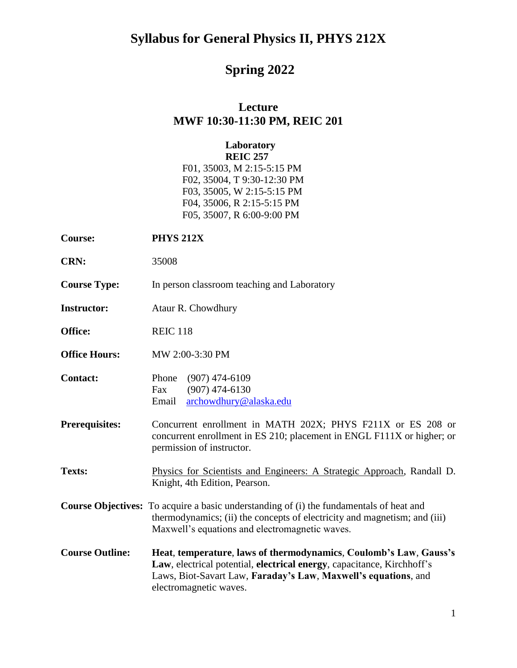# **Spring 2022**

### **Lecture MWF 10:30-11:30 PM, REIC 201**

### **Laboratory REIC 257**

F01, 35003, M 2:15-5:15 PM F02, 35004, T 9:30-12:30 PM F03, 35005, W 2:15-5:15 PM F04, 35006, R 2:15-5:15 PM F05, 35007, R 6:00-9:00 PM

| <b>Course:</b>         | <b>PHYS 212X</b>                                                                                                                                                                                                                        |  |
|------------------------|-----------------------------------------------------------------------------------------------------------------------------------------------------------------------------------------------------------------------------------------|--|
| <b>CRN:</b>            | 35008                                                                                                                                                                                                                                   |  |
| <b>Course Type:</b>    | In person classroom teaching and Laboratory                                                                                                                                                                                             |  |
| <b>Instructor:</b>     | Ataur R. Chowdhury                                                                                                                                                                                                                      |  |
| Office:                | <b>REIC 118</b>                                                                                                                                                                                                                         |  |
| <b>Office Hours:</b>   | MW 2:00-3:30 PM                                                                                                                                                                                                                         |  |
| <b>Contact:</b>        | $(907)$ 474-6109<br>Phone<br>$(907)$ 474-6130<br>Fax<br>archowdhury@alaska.edu<br>Email                                                                                                                                                 |  |
| <b>Prerequisites:</b>  | Concurrent enrollment in MATH 202X; PHYS F211X or ES 208 or<br>concurrent enrollment in ES 210; placement in ENGL F111X or higher; or<br>permission of instructor.                                                                      |  |
| <b>Texts:</b>          | Physics for Scientists and Engineers: A Strategic Approach, Randall D.<br>Knight, 4th Edition, Pearson.                                                                                                                                 |  |
|                        | <b>Course Objectives:</b> To acquire a basic understanding of (i) the fundamentals of heat and<br>thermodynamics; (ii) the concepts of electricity and magnetism; and (iii)<br>Maxwell's equations and electromagnetic waves.           |  |
| <b>Course Outline:</b> | Heat, temperature, laws of thermodynamics, Coulomb's Law, Gauss's<br>Law, electrical potential, electrical energy, capacitance, Kirchhoff's<br>Laws, Biot-Savart Law, Faraday's Law, Maxwell's equations, and<br>electromagnetic waves. |  |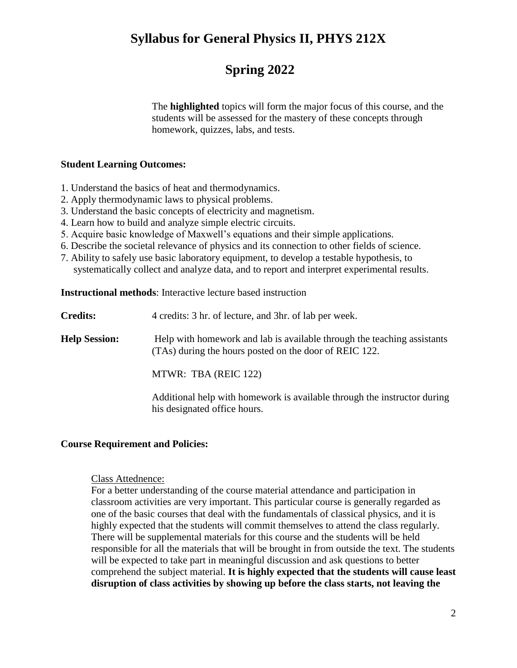### **Spring 2022**

The **highlighted** topics will form the major focus of this course, and the students will be assessed for the mastery of these concepts through homework, quizzes, labs, and tests.

### **Student Learning Outcomes:**

- 1. Understand the basics of heat and thermodynamics.
- 2. Apply thermodynamic laws to physical problems.
- 3. Understand the basic concepts of electricity and magnetism.
- 4. Learn how to build and analyze simple electric circuits.
- 5. Acquire basic knowledge of Maxwell's equations and their simple applications.
- 6. Describe the societal relevance of physics and its connection to other fields of science.
- 7. Ability to safely use basic laboratory equipment, to develop a testable hypothesis, to systematically collect and analyze data, and to report and interpret experimental results.

**Instructional methods**: Interactive lecture based instruction

| <b>Credits:</b> |  | 4 credits: 3 hr. of lecture, and 3 hr. of lab per week. |
|-----------------|--|---------------------------------------------------------|
|-----------------|--|---------------------------------------------------------|

**Help Session:** Help with homework and lab is available through the teaching assistants (TAs) during the hours posted on the door of REIC 122.

MTWR: TBA (REIC 122)

Additional help with homework is available through the instructor during his designated office hours.

### **Course Requirement and Policies:**

#### Class Attednence:

For a better understanding of the course material attendance and participation in classroom activities are very important. This particular course is generally regarded as one of the basic courses that deal with the fundamentals of classical physics, and it is highly expected that the students will commit themselves to attend the class regularly. There will be supplemental materials for this course and the students will be held responsible for all the materials that will be brought in from outside the text. The students will be expected to take part in meaningful discussion and ask questions to better comprehend the subject material. **It is highly expected that the students will cause least disruption of class activities by showing up before the class starts, not leaving the**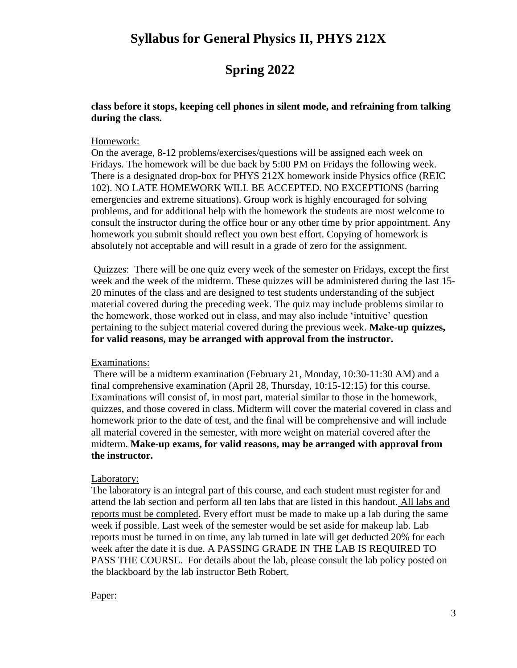# **Spring 2022**

### **class before it stops, keeping cell phones in silent mode, and refraining from talking during the class.**

### Homework:

On the average, 8-12 problems/exercises/questions will be assigned each week on Fridays. The homework will be due back by 5:00 PM on Fridays the following week. There is a designated drop-box for PHYS 212X homework inside Physics office (REIC 102). NO LATE HOMEWORK WILL BE ACCEPTED. NO EXCEPTIONS (barring emergencies and extreme situations). Group work is highly encouraged for solving problems, and for additional help with the homework the students are most welcome to consult the instructor during the office hour or any other time by prior appointment. Any homework you submit should reflect you own best effort. Copying of homework is absolutely not acceptable and will result in a grade of zero for the assignment.

Quizzes: There will be one quiz every week of the semester on Fridays, except the first week and the week of the midterm. These quizzes will be administered during the last 15- 20 minutes of the class and are designed to test students understanding of the subject material covered during the preceding week. The quiz may include problems similar to the homework, those worked out in class, and may also include 'intuitive' question pertaining to the subject material covered during the previous week. **Make-up quizzes, for valid reasons, may be arranged with approval from the instructor.**

#### Examinations:

There will be a midterm examination (February 21, Monday, 10:30-11:30 AM) and a final comprehensive examination (April 28, Thursday, 10:15-12:15) for this course. Examinations will consist of, in most part, material similar to those in the homework, quizzes, and those covered in class. Midterm will cover the material covered in class and homework prior to the date of test, and the final will be comprehensive and will include all material covered in the semester, with more weight on material covered after the midterm. **Make-up exams, for valid reasons, may be arranged with approval from the instructor.**

#### Laboratory:

The laboratory is an integral part of this course, and each student must register for and attend the lab section and perform all ten labs that are listed in this handout. All labs and reports must be completed. Every effort must be made to make up a lab during the same week if possible. Last week of the semester would be set aside for makeup lab. Lab reports must be turned in on time, any lab turned in late will get deducted 20% for each week after the date it is due. A PASSING GRADE IN THE LAB IS REQUIRED TO PASS THE COURSE. For details about the lab, please consult the lab policy posted on the blackboard by the lab instructor Beth Robert.

#### Paper: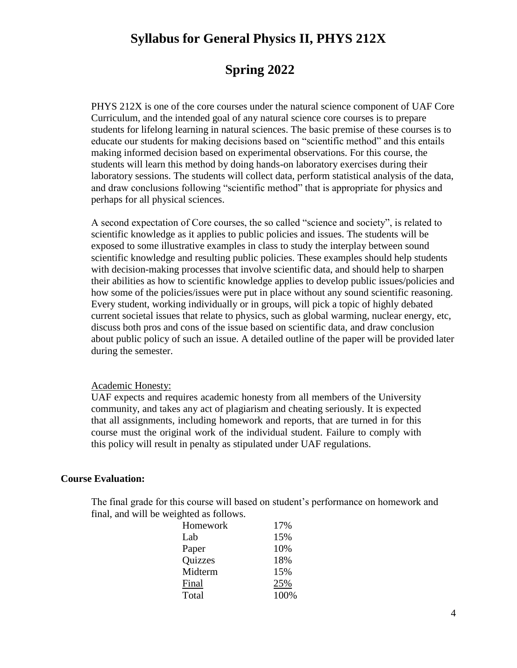### **Spring 2022**

PHYS 212X is one of the core courses under the natural science component of UAF Core Curriculum, and the intended goal of any natural science core courses is to prepare students for lifelong learning in natural sciences. The basic premise of these courses is to educate our students for making decisions based on "scientific method" and this entails making informed decision based on experimental observations. For this course, the students will learn this method by doing hands-on laboratory exercises during their laboratory sessions. The students will collect data, perform statistical analysis of the data, and draw conclusions following "scientific method" that is appropriate for physics and perhaps for all physical sciences.

A second expectation of Core courses, the so called "science and society", is related to scientific knowledge as it applies to public policies and issues. The students will be exposed to some illustrative examples in class to study the interplay between sound scientific knowledge and resulting public policies. These examples should help students with decision-making processes that involve scientific data, and should help to sharpen their abilities as how to scientific knowledge applies to develop public issues/policies and how some of the policies/issues were put in place without any sound scientific reasoning. Every student, working individually or in groups, will pick a topic of highly debated current societal issues that relate to physics, such as global warming, nuclear energy, etc, discuss both pros and cons of the issue based on scientific data, and draw conclusion about public policy of such an issue. A detailed outline of the paper will be provided later during the semester.

#### Academic Honesty:

UAF expects and requires academic honesty from all members of the University community, and takes any act of plagiarism and cheating seriously. It is expected that all assignments, including homework and reports, that are turned in for this course must the original work of the individual student. Failure to comply with this policy will result in penalty as stipulated under UAF regulations.

#### **Course Evaluation:**

The final grade for this course will based on student's performance on homework and final, and will be weighted as follows.

| Homework | 17%  |
|----------|------|
| Lab      | 15%  |
| Paper    | 10%  |
| Quizzes  | 18%  |
| Midterm  | 15%  |
| Final    | 25%  |
| Total    | 100% |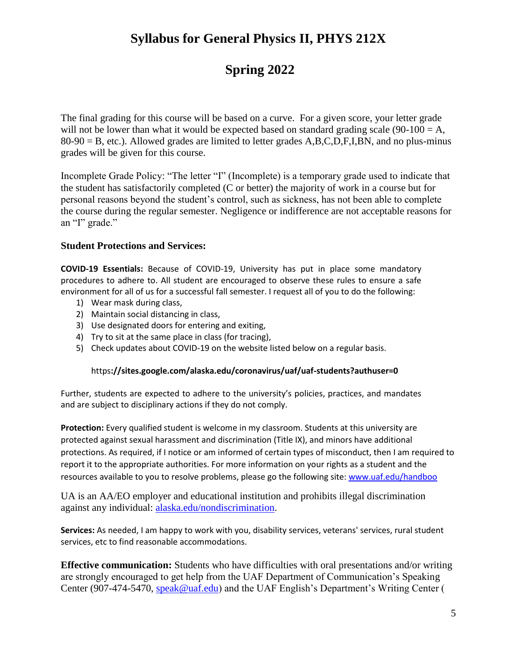# **Spring 2022**

The final grading for this course will be based on a curve. For a given score, your letter grade will not be lower than what it would be expected based on standard grading scale  $(90-100 = A$ ,  $80-90 = B$ , etc.). Allowed grades are limited to letter grades A,B,C,D,F,I,BN, and no plus-minus grades will be given for this course.

Incomplete Grade Policy: "The letter "I" (Incomplete) is a temporary grade used to indicate that the student has satisfactorily completed (C or better) the majority of work in a course but for personal reasons beyond the student's control, such as sickness, has not been able to complete the course during the regular semester. Negligence or indifference are not acceptable reasons for an "I" grade."

### **Student Protections and Services:**

**COVID-19 Essentials:** Because of COVID-19, University has put in place some mandatory procedures to adhere to. All student are encouraged to observe these rules to ensure a safe environment for all of us for a successful fall semester. I request all of you to do the following:

- 1) Wear mask during class,
- 2) Maintain social distancing in class,
- 3) Use designated doors for entering and exiting,
- 4) Try to sit at the same place in class (for tracing),
- 5) Check updates about COVID-19 on the website listed below on a regular basis.

#### https**://sites.google.com/alaska.edu/coronavirus/uaf/uaf-students?authuser=0**

Further, students are expected to adhere to the university's policies, practices, and mandates and are subject to disciplinary actions if they do not comply.

**Protection:** Every qualified student is welcome in my classroom. Students at this university are protected against sexual harassment and discrimination (Title IX), and minors have additional protections. As required, if I notice or am informed of certain types of misconduct, then I am required to report it to the appropriate authorities. For more information on your rights as a student and the resources available to you to resolve problems, please go the following site: [www.uaf.edu/handboo](https://www.google.com/url?q=http://www.uaf.edu/handbook/&sa=D&ust=1538527369509000&usg=AFQjCNESuscYx56iZOeUMYOtsncUgPcg9A)

UA is an AA/EO employer and educational institution and prohibits illegal discrimination against any individual: [alaska.edu/nondiscrimination.](https://www.google.com/url?q=http://alaska.edu/nondiscrimination&sa=D&ust=1538527369514000&usg=AFQjCNHjkyq0V2-h5XgnHGAvdWESjUm5bw)

**Services:** As needed, I am happy to work with you, disability services, veterans' services, rural student services, etc to find reasonable accommodations.

**Effective communication:** Students who have difficulties with oral presentations and/or writing are strongly encouraged to get help from the UAF Department of Communication's Speaking Center (907-474-5470, [speak@uaf.edu\)](mailto:speak@uaf.edu) and the UAF English's Department's Writing Center (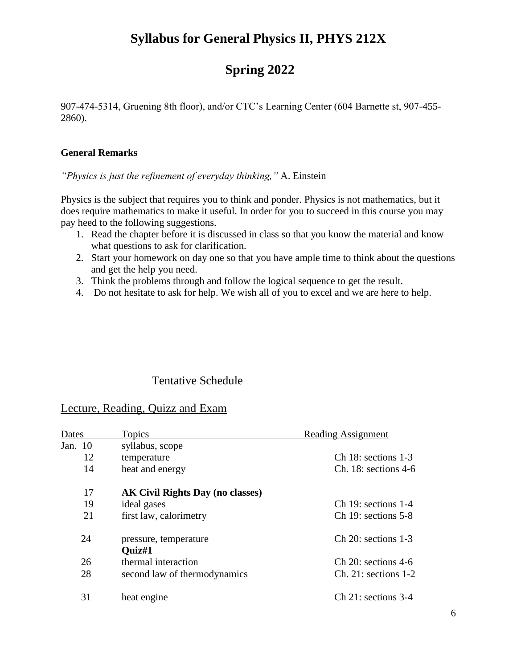## **Spring 2022**

907-474-5314, Gruening 8th floor), and/or CTC's Learning Center (604 Barnette st, 907-455- 2860).

### **General Remarks**

*"Physics is just the refinement of everyday thinking,"* A. Einstein

Physics is the subject that requires you to think and ponder. Physics is not mathematics, but it does require mathematics to make it useful. In order for you to succeed in this course you may pay heed to the following suggestions.

- 1. Read the chapter before it is discussed in class so that you know the material and know what questions to ask for clarification.
- 2. Start your homework on day one so that you have ample time to think about the questions and get the help you need.
- 3. Think the problems through and follow the logical sequence to get the result.
- 4. Do not hesitate to ask for help. We wish all of you to excel and we are here to help.

### Tentative Schedule

### Lecture, Reading, Quizz and Exam

| Dates   | Topics                                  | <b>Reading Assignment</b> |
|---------|-----------------------------------------|---------------------------|
| Jan. 10 | syllabus, scope                         |                           |
| 12      | temperature                             | Ch 18: sections $1-3$     |
| 14      | heat and energy                         | $Ch. 18: sections 4-6$    |
| 17      | <b>AK Civil Rights Day (no classes)</b> |                           |
| 19      | ideal gases                             | $Ch$ 19: sections 1-4     |
| 21      | first law, calorimetry                  | $Ch$ 19: sections 5-8     |
| 24      | pressure, temperature<br>Ouiz#1         | $Ch$ 20: sections 1-3     |
| 26      | thermal interaction                     | $Ch$ 20: sections 4-6     |
| 28      | second law of thermodynamics            | $Ch. 21: sections 1-2$    |
| 31      | heat engine                             | $Ch$ 21: sections 3-4     |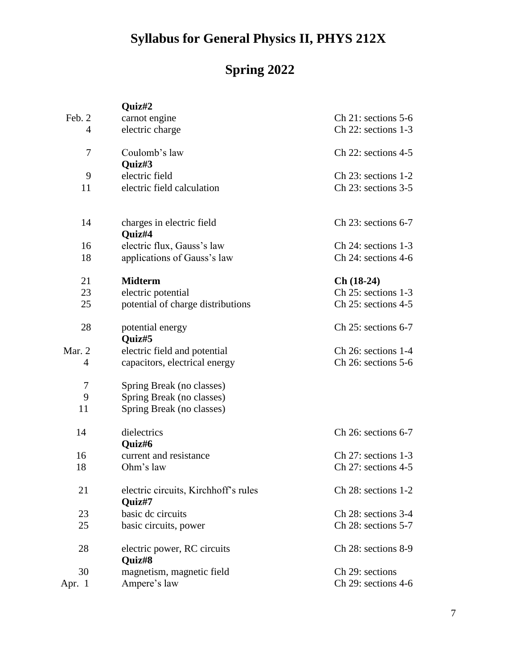# **Spring 2022**

|          | Quiz#2                                         |                         |
|----------|------------------------------------------------|-------------------------|
| Feb. 2   | carnot engine                                  | $Ch$ 21: sections 5-6   |
| 4        | electric charge                                | $Ch$ 22: sections 1-3   |
| 7        | Coulomb's law                                  | $Ch$ 22: sections 4-5   |
|          | Quiz#3                                         |                         |
| 9        | electric field                                 | $Ch$ 23: sections 1-2   |
| 11       | electric field calculation                     | $Ch$ 23: sections 3-5   |
| 14       | charges in electric field                      | $Ch$ 23: sections 6-7   |
|          | Quiz#4                                         |                         |
| 16       | electric flux, Gauss's law                     | $Ch$ 24: sections 1-3   |
| 18       | applications of Gauss's law                    | $Ch$ 24: sections 4-6   |
| 21       | <b>Midterm</b>                                 | $Ch(18-24)$             |
| 23       | electric potential                             | $Ch$ 25: sections 1-3   |
| 25       | potential of charge distributions              | $Ch$ 25: sections 4-5   |
| 28       | potential energy<br>Quiz#5                     | $Ch$ 25: sections 6-7   |
| Mar. $2$ | electric field and potential                   | $Ch$ 26: sections 1-4   |
| 4        | capacitors, electrical energy                  | $Ch$ 26: sections 5-6   |
| 7        | Spring Break (no classes)                      |                         |
| 9        | Spring Break (no classes)                      |                         |
| 11       | Spring Break (no classes)                      |                         |
| 14       | dielectrics<br>Quiz#6                          | $Ch$ 26: sections 6-7   |
| 16       | current and resistance                         | $Ch$ 27: sections 1-3   |
| 18       | Ohm's law                                      | Ch $27:$ sections $4-5$ |
| 21       | electric circuits, Kirchhoff's rules<br>Quiz#7 | $Ch$ 28: sections 1-2   |
| 23       | basic de circuits                              | $Ch$ 28: sections 3-4   |
| 25       | basic circuits, power                          | Ch 28: sections 5-7     |
| 28       | electric power, RC circuits<br>Quiz#8          | Ch 28: sections 8-9     |
| 30       | magnetism, magnetic field                      | Ch 29: sections         |
| Apr. 1   | Ampere's law                                   | Ch 29: sections 4-6     |
|          |                                                |                         |